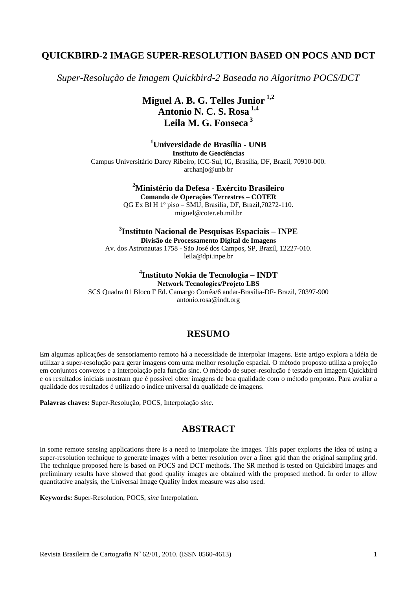## **QUICKBIRD-2 IMAGE SUPER-RESOLUTION BASED ON POCS AND DCT**

*Super-Resolução de Imagem Quickbird-2 Baseada no Algoritmo POCS/DCT*

## **Miguel A. B. G. Telles Junior 1,2 Antonio N. C. S. Rosa 1,4 Leila M. G. Fonseca 3**

**1 Universidade de Brasília - UNB Instituto de Geociências**  Campus Universitário Darcy Ribeiro, ICC-Sul, IG, Brasília, DF, Brazil, 70910-000. archanjo@unb.br

**2 Ministério da Defesa - Exército Brasileiro** 

**Comando de Operações Terrestres – COTER** 

QG Ex Bl H 1º piso – SMU, Brasília, DF, Brazil,70272-110. miguel@coter.eb.mil.br

# **3 Instituto Nacional de Pesquisas Espaciais – INPE**

**Divisão de Processamento Digital de Imagens**  Av. dos Astronautas 1758 - São José dos Campos, SP, Brazil, 12227-010.

leila@dpi.inpe.br

### **4 Instituto Nokia de Tecnologia – INDT Network Tecnologies/Projeto LBS**

SCS Quadra 01 Bloco F Ed. Camargo Corrêa/6 andar-Brasília-DF- Brazil, 70397-900 antonio.rosa@indt.org

## **RESUMO**

Em algumas aplicações de sensoriamento remoto há a necessidade de interpolar imagens. Este artigo explora a idéia de utilizar a super-resolução para gerar imagens com uma melhor resolução espacial. O método proposto utiliza a projeção em conjuntos convexos e a interpolação pela função sinc. O método de super-resolução é testado em imagem Quickbird e os resultados iniciais mostram que é possível obter imagens de boa qualidade com o método proposto. Para avaliar a qualidade dos resultados é utilizado o índice universal da qualidade de imagens.

**Palavras chaves: S**uper-Resolução, POCS, Interpolação *sinc*.

## **ABSTRACT**

In some remote sensing applications there is a need to interpolate the images. This paper explores the idea of using a super-resolution technique to generate images with a better resolution over a finer grid than the original sampling grid. The technique proposed here is based on POCS and DCT methods. The SR method is tested on Quickbird images and preliminary results have showed that good quality images are obtained with the proposed method. In order to allow quantitative analysis, the Universal Image Quality Index measure was also used.

**Keywords: S**uper-Resolution, POCS, *sinc* Interpolation.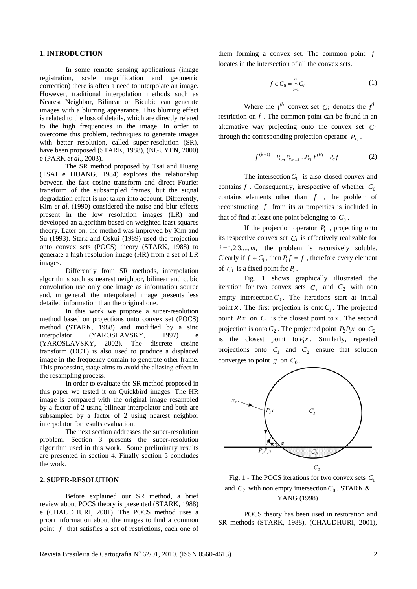#### **1. INTRODUCTION**

In some remote sensing applications (image registration, scale magnification and geometric correction) there is often a need to interpolate an image. However, traditional interpolation methods such as Nearest Neighbor, Bilinear or Bicubic can generate images with a blurring appearance. This blurring effect is related to the loss of details, which are directly related to the high frequencies in the image. In order to overcome this problem, techniques to generate images with better resolution, called super-resolution (SR), have been proposed (STARK, 1988), (NGUYEN, 2000) e (PARK *et al*., 2003).

The SR method proposed by Tsai and Huang (TSAI e HUANG, 1984) explores the relationship between the fast cosine transform and direct Fourier transform of the subsampled frames, but the signal degradation effect is not taken into account. Differently, Kim *et al*. (1990) considered the noise and blur effects present in the low resolution images (LR) and developed an algorithm based on weighted least squares theory. Later on, the method was improved by Kim and Su (1993). Stark and Oskui (1989) used the projection onto convex sets (POCS) theory (STARK, 1988) to generate a high resolution image (HR) from a set of LR images.

Differently from SR methods, interpolation algorithms such as nearest neighbor, bilinear and cubic convolution use only one image as information source and, in general, the interpolated image presents less detailed information than the original one.

In this work we propose a super-resolution method based on projections onto convex set (POCS) method (STARK, 1988) and modified by a sinc interpolator (YAROSLAVSKY, 1997) e (YAROSLAVSKY, 2002). The discrete cosine transform (DCT) is also used to produce a displaced image in the frequency domain to generate other frame. This processing stage aims to avoid the aliasing effect in the resampling process.

In order to evaluate the SR method proposed in this paper we tested it on Quickbird images. The HR image is compared with the original image resampled by a factor of 2 using bilinear interpolator and both are subsampled by a factor of 2 using nearest neighbor interpolator for results evaluation.

The next section addresses the super-resolution problem. Section 3 presents the super-resolution algorithm used in this work. Some preliminary results are presented in section 4. Finally section 5 concludes the work.

#### **2. SUPER-RESOLUTION**

Before explained our SR method, a brief review about POCS theory is presented (STARK, 1988) e (CHAUDHURI, 2001). The POCS method uses a priori information about the images to find a common point  $f$  that satisfies a set of restrictions, each one of

them forming a convex set. The common point *f* locates in the intersection of all the convex sets.

$$
f \in C_0 = \bigcap_{i=1}^m C_i \tag{1}
$$

Where the  $i^{th}$  convex set  $C_i$  denotes the  $i^{th}$ restriction on  $f$ . The common point can be found in an alternative way projecting onto the convex set *Ci* through the corresponding projection operator  $P_{c_i}$ .

$$
f^{(k+1)} = P_{c_m} P_{c_{m-1}} ... P_{c_1} f^{(k)} = P_c f \tag{2}
$$

The intersection  $C_0$  is also closed convex and contains  $f$  . Consequently, irrespective of whether  $C_0$ contains elements other than  $f$ , the problem of reconstructing  $f$  from its  $m$  properties is included in that of find at least one point belonging to  $C_0$ .

If the projection operator  $P_i$ , projecting onto its respective convex set  $C_i$  is effectively realizable for  $i = 1, 2, 3, \dots, m$ , the problem is recursively soluble. Clearly if  $f \in C_i$ , then  $P_i f = f$ , therefore every element of  $C_i$  is a fixed point for  $P_i$ .

Fig. 1 shows graphically illustrated the iteration for two convex sets  $C_1$  and  $C_2$  with non empty intersection  $C_0$ . The iterations start at initial point *x*. The first projection is onto  $C_1$ . The projected point  $P_1x$  on  $C_1$  is the closest point to x. The second projection is onto  $C_2$ . The projected point  $P_2P_1x$  on  $C_2$ is the closest point to  $P_1x$ . Similarly, repeated projections onto  $C_1$  and  $C_2$  ensure that solution converges to point  $g$  on  $C_0$ .



Fig. 1 - The POCS iterations for two convex sets *C*1 and  $C_2$  with non empty intersection  $C_0$ . STARK & YANG (1998)

POCS theory has been used in restoration and SR methods (STARK, 1988), (CHAUDHURI, 2001),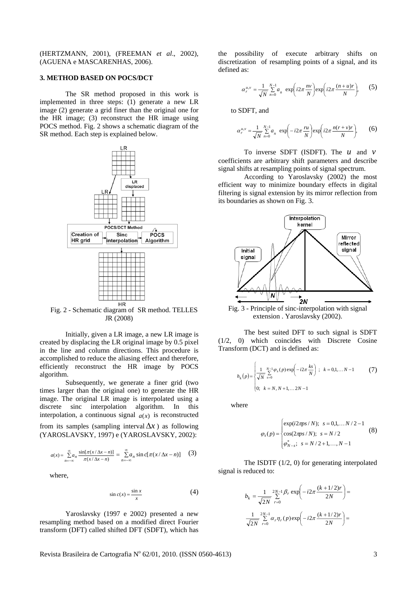(HERTZMANN, 2001), (FREEMAN *et al*., 2002), (AGUENA e MASCARENHAS, 2006).

#### **3. METHOD BASED ON POCS/DCT**

The SR method proposed in this work is implemented in three steps: (1) generate a new LR image (2) generate a grid finer than the original one for the HR image; (3) reconstruct the HR image using POCS method. Fig. 2 shows a schematic diagram of the SR method. Each step is explained below.



Fig. 2 - Schematic diagram of SR method. TELLES JR (2008)

Initially, given a LR image, a new LR image is created by displacing the LR original image by 0.5 pixel in the line and column directions. This procedure is accomplished to reduce the aliasing effect and therefore, efficiently reconstruct the HR image by POCS algorithm.

Subsequently, we generate a finer grid (two times larger than the original one) to generate the HR image. The original LR image is interpolated using a discrete sinc interpolation algorithm. In this interpolation, a continuous signal  $a(x)$  is reconstructed

from its samples (sampling interval  $\Delta x$ ) as following (YAROSLAVSKY, 1997) e (YAROSLAVSKY, 2002):

$$
a(x) = \sum_{n=-\infty}^{\infty} a_n \frac{\sin[\pi(x/\Delta x - n)]}{\pi(x/\Delta x - n)} = \sum_{n=-\infty}^{\infty} a_n \sin c[\pi(x/\Delta x - n)] \quad (3)
$$

where,

$$
\sin c(x) = \frac{\sin x}{x} \tag{4}
$$

Yaroslavsky (1997 e 2002) presented a new resampling method based on a modified direct Fourier transform (DFT) called shifted DFT (SDFT), which has

the possibility of execute arbitrary shifts on discretization of resampling points of a signal, and its defined as:

$$
\alpha_r^{u,v} = \frac{1}{\sqrt{N}} \sum_{n=0}^{N-1} a_n \exp\left(i2\pi \frac{nv}{N}\right) \exp\left(i2\pi \frac{(n+u)r}{N}\right), \qquad (5)
$$

to SDFT, and

$$
\alpha_r^{u,v} = \frac{1}{\sqrt{N}} \sum_{n=0}^{N-1} a_n \exp\left(-i2\pi \frac{ru}{N}\right) \exp\left(i2\pi \frac{n(r+v)r}{N}\right),\qquad(6)
$$

To inverse SDFT (ISDFT). The *u* and *v* coefficients are arbitrary shift parameters and describe signal shifts at resampling points of signal spectrum.

According to Yaroslavsky (2002) the most efficient way to minimize boundary effects in digital filtering is signal extension by its mirror reflection from its boundaries as shown on Fig. 3.



extension . Yaroslavsky (2002).

The best suited DFT to such signal is SDFT (1/2, 0) which coincides with Discrete Cosine Transform (DCT) and is defined as:

$$
h_k(p) = \begin{cases} \frac{1}{\sqrt{N}} \sum_{s=0}^{N-1} \varphi_s(p) \exp\left(-i2\pi \frac{ks}{N}\right) ; & k = 0,1,...N-1\\ 0; & k = N, N+1,...2N-1 \end{cases}
$$
(7)

where

$$
\varphi_s(p) = \begin{cases}\n\exp(i2\pi ps/N); & s = 0,1,...N/2-1 \\
\cos(2\pi ps/N); & s = N/2 \\
\varphi_{N-s}; & s = N/2+1,...,N-1\n\end{cases}
$$
(8)

The ISDTF (1/2, 0) for generating interpolated signal is reduced to:

$$
b_k = \frac{1}{\sqrt{2N}} \sum_{r=0}^{2N-1} \frac{\beta_r \exp\left(-i2\pi \frac{(k+1/2)r}{2N}\right)}{2N} = \frac{1}{\sqrt{2N}} \sum_{r=0}^{2N-1} \alpha_r \eta_r(p) \exp\left(-i2\pi \frac{(k+1/2)r}{2N}\right)
$$

Revista Brasileira de Cartografia  $N^{\circ}$  62/01, 2010. (ISSN 0560-4613) 3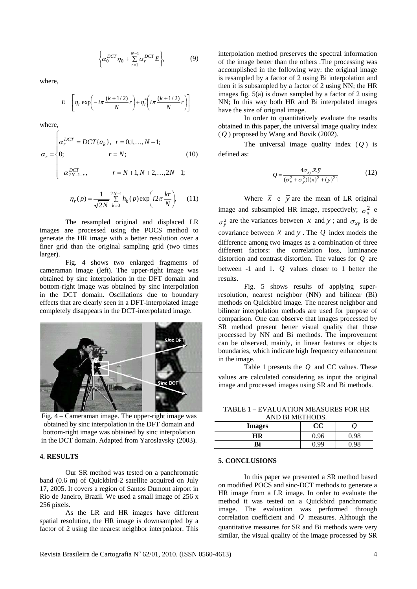$$
\left\{\alpha_0^{DCT}\eta_0 + \sum_{r=1}^{N-1} \alpha_r^{DCT} E\right\},\tag{9}
$$

where,

$$
E = \left[ \eta_r \exp\left(-i\pi \frac{(k+1/2)}{N}r\right) + \eta_r^* \left(i\pi \frac{(k+1/2)}{N}r\right) \right]
$$

where,

$$
\alpha_r = \begin{cases}\n\alpha_r^{DCT} = DCT\{a_k\}, & r = 0,1,...,N-1; \\
0; & r = N; \\
-\alpha_{2N-1-r}^{DCT}, & r = N+1, N+2,...,2N-1;\n\end{cases}
$$
\n(10)

$$
\eta_r(p) = \frac{1}{\sqrt{2N}} \sum_{k=0}^{2N-1} h_k(p) \exp\left(i2\pi \frac{kr}{N}\right), \quad (11)
$$

The resampled original and displaced LR images are processed using the POCS method to generate the HR image with a better resolution over a finer grid than the original sampling grid (two times larger).

Fig. 4 shows two enlarged fragments of cameraman image (left). The upper-right image was obtained by sinc interpolation in the DFT domain and bottom-right image was obtained by sinc interpolation in the DCT domain. Oscillations due to boundary effects that are clearly seen in a DFT-interpolated image completely disappears in the DCT-interpolated image.



Fig. 4 – Cameraman image. The upper-right image was obtained by sinc interpolation in the DFT domain and bottom-right image was obtained by sinc interpolation in the DCT domain. Adapted from Yaroslavsky (2003).

#### **4. RESULTS**

Our SR method was tested on a panchromatic band (0.6 m) of Quickbird-2 satellite acquired on July 17, 2005. It covers a region of Santos Dumont airport in Rio de Janeiro, Brazil. We used a small image of 256 x 256 pixels.

As the LR and HR images have different spatial resolution, the HR image is downsampled by a factor of 2 using the nearest neighbor interpolator. This interpolation method preserves the spectral information of the image better than the others .The processing was accomplished in the following way: the original image is resampled by a factor of 2 using Bi interpolation and then it is subsampled by a factor of 2 using NN; the HR images fig. 5(a) is down sampled by a factor of 2 using NN; In this way both HR and Bi interpolated images have the size of original image.

In order to quantitatively evaluate the results obtained in this paper, the universal image quality index ( *Q* ) proposed by Wang and Bovik (2002).

The universal image quality index  $(Q)$  is defined as:

$$
Q = \frac{4\sigma_{xy}.\bar{x}.\bar{y}}{(\sigma_x^2 + \sigma_y^2)[(\bar{x})^2 + (\bar{y})^2]}
$$
(12)

Where  $\bar{x}$  e  $\bar{y}$  are the mean of LR original image and subsampled HR image, respectively;  $\sigma_x^2$  e  $\sigma_y^2$  are the variances between *x* and *y*; and  $\sigma_{xy}$  is de covariance between  $x$  and  $y$ . The  $Q$  index models the difference among two images as a combination of three different factors: the correlation loss, luminance distortion and contrast distortion. The values for *Q* are between -1 and 1. *Q* values closer to 1 better the results.

Fig. 5 shows results of applying superresolution, nearest neighbor (NN) and bilinear (Bi) methods on Quickbird image. The nearest neighbor and bilinear interpolation methods are used for purpose of comparison. One can observe that images processed by SR method present better visual quality that those processed by NN and Bi methods. The improvement can be observed, mainly, in linear features or objects boundaries, which indicate high frequency enhancement in the image.

Table 1 presents the  $Q$  and CC values. These values are calculated considering as input the original image and processed images using SR and Bi methods.

TABLE 1 – EVALUATION MEASURES FOR HR AND BI METHODS.

| <b>Images</b> | ~~ |     |
|---------------|----|-----|
| HR            |    | -98 |
| Bi            | oс | 0Q. |

#### **5. CONCLUSIONS**

In this paper we presented a SR method based on modified POCS and sinc-DCT methods to generate a HR image from a LR image. In order to evaluate the method it was tested on a Quickbird panchromatic image. The evaluation was performed through correlation coefficient and *Q* measures. Although the quantitative measures for SR and Bi methods were very similar, the visual quality of the image processed by SR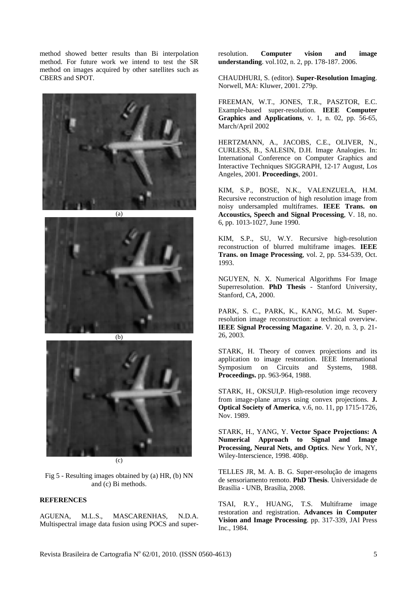method showed better results than Bi interpolation method. For future work we intend to test the SR method on images acquired by other satellites such as CBERS and SPOT.







 $(c)$ 

Fig 5 - Resulting images obtained by (a) HR, (b) NN and (c) Bi methods.

#### **REFERENCES**

AGUENA, M.L.S., MASCARENHAS, N.D.A. Multispectral image data fusion using POCS and superresolution. **Computer vision and image understanding**. vol.102, n. 2, pp. 178-187. 2006.

CHAUDHURI, S. (editor). **Super-Resolution Imaging**. Norwell, MA: Kluwer, 2001. 279p.

FREEMAN, W.T., JONES, T.R., PASZTOR, E.C. Example-based super-resolution. **IEEE Computer Graphics and Applications**, v. 1, n. 02, pp. 56-65, March/April 2002

HERTZMANN, A., JACOBS, C.E., OLIVER, N., CURLESS, B., SALESIN, D.H. Image Analogies. In: International Conference on Computer Graphics and Interactive Techniques SIGGRAPH, 12-17 August, Los Angeles, 2001. **Proceedings**, 2001.

KIM, S.P., BOSE, N.K., VALENZUELA, H.M. Recursive reconstruction of high resolution image from noisy undersampled multiframes. **IEEE Trans. on Accoustics, Speech and Signal Processing**, V. 18, no. 6, pp. 1013-1027, June 1990.

KIM, S.P., SU, W.Y. Recursive high-resolution reconstruction of blurred multiframe images. **IEEE Trans. on Image Processing**, vol. 2, pp. 534-539, Oct. 1993.

NGUYEN, N. X. Numerical Algorithms For Image Superresolution. **PhD Thesis** - Stanford University, Stanford, CA, 2000.

PARK, S. C., PARK, K., KANG, M.G. M. Superresolution image reconstruction: a technical overview. **IEEE Signal Processing Magazine**. V. 20, n. 3, p. 21- 26, 2003.

STARK, H. Theory of convex projections and its application to image restoration. IEEE International Symposium on Circuits and Systems, 1988. **Proceedings.** pp. 963-964, 1988.

STARK, H., OKSUI,P. High-resolution imge recovery from image-plane arrays using convex projections. **J. Optical Society of America**, v.6, no. 11, pp 1715-1726, Nov. 1989.

STARK, H., YANG, Y. **Vector Space Projections: A Numerical Approach to Signal and Image Processing, Neural Nets, and Optics**. New York, NY, Wiley-Interscience, 1998. 408p.

TELLES JR, M. A. B. G. Super-resolução de imagens de sensoriamento remoto. **PhD Thesis**. Universidade de Brasília - UNB, Brasília, 2008.

TSAI, R.Y., HUANG, T.S. Multiframe image restoration and registration. **Advances in Computer Vision and Image Processing**. pp. 317-339, JAI Press Inc., 1984.